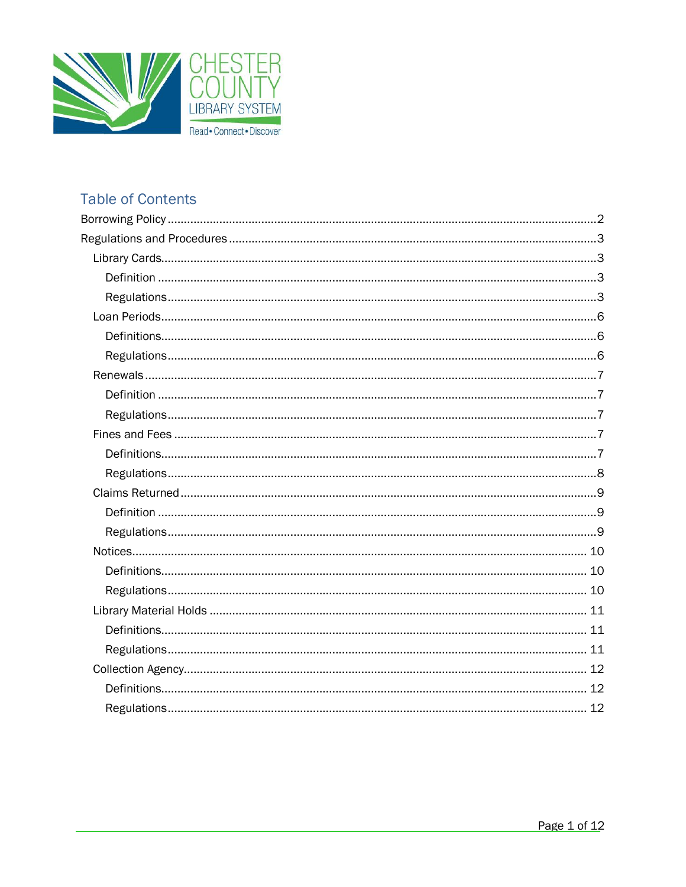

# **Table of Contents**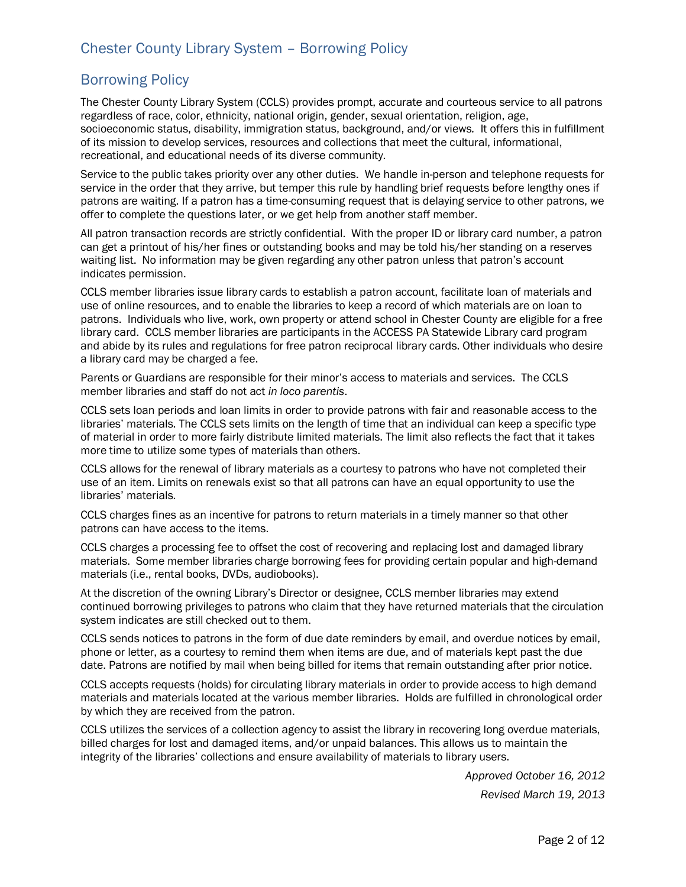## Borrowing Policy

The Chester County Library System (CCLS) provides prompt, accurate and courteous service to all patrons regardless of race, color, ethnicity, national origin, gender, sexual orientation, religion, age, socioeconomic status, disability, immigration status, background, and/or views*.* It offers this in fulfillment of its mission to develop services, resources and collections that meet the cultural, informational, recreational, and educational needs of its diverse community.

Service to the public takes priority over any other duties. We handle in-person and telephone requests for service in the order that they arrive, but temper this rule by handling brief requests before lengthy ones if patrons are waiting. If a patron has a time-consuming request that is delaying service to other patrons, we offer to complete the questions later, or we get help from another staff member.

All patron transaction records are strictly confidential. With the proper ID or library card number, a patron can get a printout of his/her fines or outstanding books and may be told his/her standing on a reserves waiting list. No information may be given regarding any other patron unless that patron's account indicates permission.

CCLS member libraries issue library cards to establish a patron account, facilitate loan of materials and use of online resources, and to enable the libraries to keep a record of which materials are on loan to patrons. Individuals who live, work, own property or attend school in Chester County are eligible for a free library card. CCLS member libraries are participants in the ACCESS PA Statewide Library card program and abide by its rules and regulations for free patron reciprocal library cards. Other individuals who desire a library card may be charged a fee.

Parents or Guardians are responsible for their minor's access to materials and services. The CCLS member libraries and staff do not act *in loco parentis*.

CCLS sets loan periods and loan limits in order to provide patrons with fair and reasonable access to the libraries' materials. The CCLS sets limits on the length of time that an individual can keep a specific type of material in order to more fairly distribute limited materials. The limit also reflects the fact that it takes more time to utilize some types of materials than others.

CCLS allows for the renewal of library materials as a courtesy to patrons who have not completed their use of an item. Limits on renewals exist so that all patrons can have an equal opportunity to use the libraries' materials.

CCLS charges fines as an incentive for patrons to return materials in a timely manner so that other patrons can have access to the items.

CCLS charges a processing fee to offset the cost of recovering and replacing lost and damaged library materials. Some member libraries charge borrowing fees for providing certain popular and high-demand materials (i.e., rental books, DVDs, audiobooks).

At the discretion of the owning Library's Director or designee, CCLS member libraries may extend continued borrowing privileges to patrons who claim that they have returned materials that the circulation system indicates are still checked out to them.

CCLS sends notices to patrons in the form of due date reminders by email, and overdue notices by email, phone or letter, as a courtesy to remind them when items are due, and of materials kept past the due date. Patrons are notified by mail when being billed for items that remain outstanding after prior notice.

CCLS accepts requests (holds) for circulating library materials in order to provide access to high demand materials and materials located at the various member libraries. Holds are fulfilled in chronological order by which they are received from the patron.

CCLS utilizes the services of a collection agency to assist the library in recovering long overdue materials, billed charges for lost and damaged items, and/or unpaid balances. This allows us to maintain the integrity of the libraries' collections and ensure availability of materials to library users.

> *Approved October 16, 2012 Revised March 19, 2013*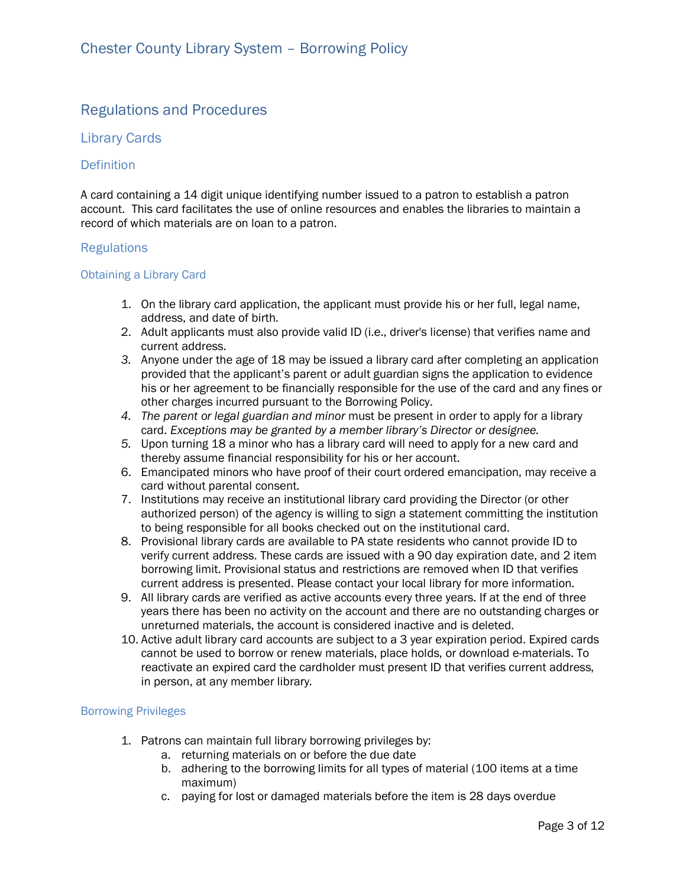## Regulations and Procedures

## Library Cards

### **Definition**

A card containing a 14 digit unique identifying number issued to a patron to establish a patron account. This card facilitates the use of online resources and enables the libraries to maintain a record of which materials are on loan to a patron.

### **Regulations**

### Obtaining a Library Card

- 1. On the library card application, the applicant must provide his or her full, legal name, address, and date of birth.
- 2. Adult applicants must also provide valid ID (i.e., driver's license) that verifies name and current address.
- *3.* Anyone under the age of 18 may be issued a library card after completing an application provided that the applicant's parent or adult guardian signs the application to evidence his or her agreement to be financially responsible for the use of the card and any fines or other charges incurred pursuant to the Borrowing Policy.
- *4. The parent or legal guardian and minor* must be present in order to apply for a library card. *Exceptions may be granted by a member library's Director or designee.*
- *5.* Upon turning 18 a minor who has a library card will need to apply for a new card and thereby assume financial responsibility for his or her account.
- 6. Emancipated minors who have proof of their court ordered emancipation, may receive a card without parental consent.
- 7. Institutions may receive an institutional library card providing the Director (or other authorized person) of the agency is willing to sign a statement committing the institution to being responsible for all books checked out on the institutional card.
- 8. Provisional library cards are available to PA state residents who cannot provide ID to verify current address. These cards are issued with a 90 day expiration date, and 2 item borrowing limit. Provisional status and restrictions are removed when ID that verifies current address is presented. Please contact your local library for more information.
- 9. All library cards are verified as active accounts every three years. If at the end of three years there has been no activity on the account and there are no outstanding charges or unreturned materials, the account is considered inactive and is deleted.
- 10. Active adult library card accounts are subject to a 3 year expiration period. Expired cards cannot be used to borrow or renew materials, place holds, or download e-materials. To reactivate an expired card the cardholder must present ID that verifies current address, in person, at any member library.

### Borrowing Privileges

- 1. Patrons can maintain full library borrowing privileges by:
	- a. returning materials on or before the due date
	- b. adhering to the borrowing limits for all types of material (100 items at a time maximum)
	- c. paying for lost or damaged materials before the item is 28 days overdue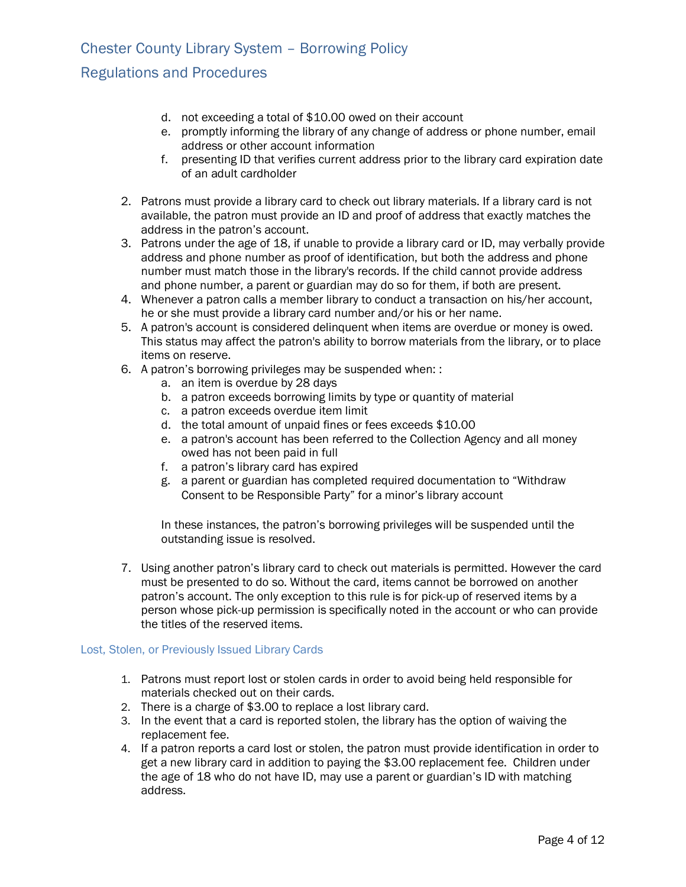## Regulations and Procedures

- d. not exceeding a total of \$10.00 owed on their account
- e. promptly informing the library of any change of address or phone number, email address or other account information
- f. presenting ID that verifies current address prior to the library card expiration date of an adult cardholder
- 2. Patrons must provide a library card to check out library materials. If a library card is not available, the patron must provide an ID and proof of address that exactly matches the address in the patron's account.
- 3. Patrons under the age of 18, if unable to provide a library card or ID, may verbally provide address and phone number as proof of identification, but both the address and phone number must match those in the library's records. If the child cannot provide address and phone number, a parent or guardian may do so for them, if both are present.
- 4. Whenever a patron calls a member library to conduct a transaction on his/her account, he or she must provide a library card number and/or his or her name.
- 5. A patron's account is considered delinquent when items are overdue or money is owed. This status may affect the patron's ability to borrow materials from the library, or to place items on reserve.
- 6. A patron's borrowing privileges may be suspended when: :
	- a. an item is overdue by 28 days
	- b. a patron exceeds borrowing limits by type or quantity of material
	- c. a patron exceeds overdue item limit
	- d. the total amount of unpaid fines or fees exceeds \$10.00
	- e. a patron's account has been referred to the Collection Agency and all money owed has not been paid in full
	- f. a patron's library card has expired
	- g. a parent or guardian has completed required documentation to "Withdraw Consent to be Responsible Party" for a minor's library account

In these instances, the patron's borrowing privileges will be suspended until the outstanding issue is resolved.

7. Using another patron's library card to check out materials is permitted. However the card must be presented to do so. Without the card, items cannot be borrowed on another patron's account. The only exception to this rule is for pick-up of reserved items by a person whose pick-up permission is specifically noted in the account or who can provide the titles of the reserved items.

#### Lost, Stolen, or Previously Issued Library Cards

- 1. Patrons must report lost or stolen cards in order to avoid being held responsible for materials checked out on their cards.
- 2. There is a charge of \$3.00 to replace a lost library card.
- 3. In the event that a card is reported stolen, the library has the option of waiving the replacement fee.
- 4. If a patron reports a card lost or stolen, the patron must provide identification in order to get a new library card in addition to paying the \$3.00 replacement fee. Children under the age of 18 who do not have ID, may use a parent or guardian's ID with matching address.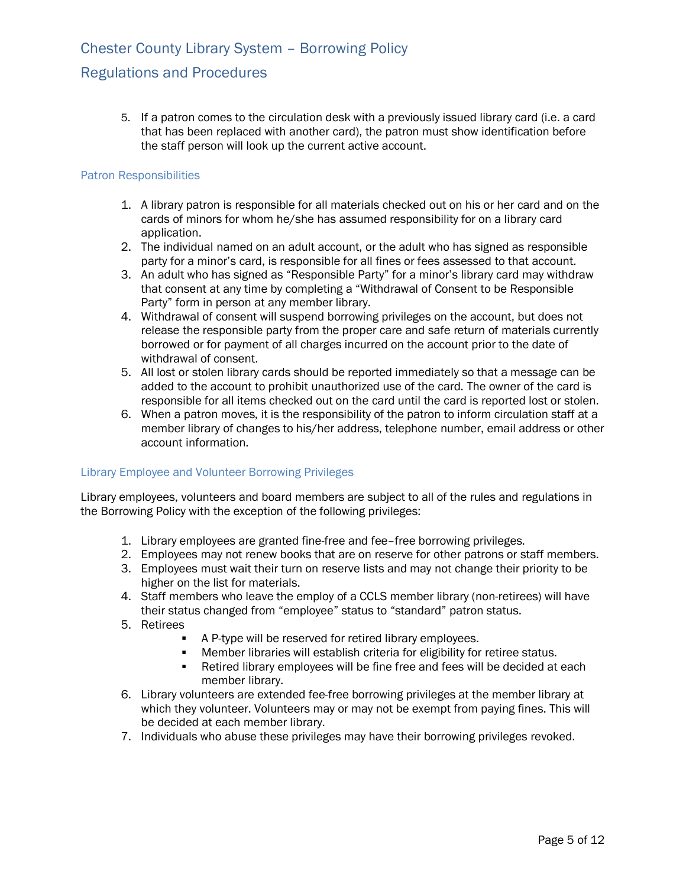## Regulations and Procedures

5. If a patron comes to the circulation desk with a previously issued library card (i.e. a card that has been replaced with another card), the patron must show identification before the staff person will look up the current active account.

#### Patron Responsibilities

- 1. A library patron is responsible for all materials checked out on his or her card and on the cards of minors for whom he/she has assumed responsibility for on a library card application.
- 2. The individual named on an adult account, or the adult who has signed as responsible party for a minor's card, is responsible for all fines or fees assessed to that account.
- 3. An adult who has signed as "Responsible Party" for a minor's library card may withdraw that consent at any time by completing a "Withdrawal of Consent to be Responsible Party" form in person at any member library.
- 4. Withdrawal of consent will suspend borrowing privileges on the account, but does not release the responsible party from the proper care and safe return of materials currently borrowed or for payment of all charges incurred on the account prior to the date of withdrawal of consent.
- 5. All lost or stolen library cards should be reported immediately so that a message can be added to the account to prohibit unauthorized use of the card. The owner of the card is responsible for all items checked out on the card until the card is reported lost or stolen.
- 6. When a patron moves, it is the responsibility of the patron to inform circulation staff at a member library of changes to his/her address, telephone number, email address or other account information.

### Library Employee and Volunteer Borrowing Privileges

Library employees, volunteers and board members are subject to all of the rules and regulations in the Borrowing Policy with the exception of the following privileges:

- 1. Library employees are granted fine-free and fee–free borrowing privileges.
- 2. Employees may not renew books that are on reserve for other patrons or staff members.
- 3. Employees must wait their turn on reserve lists and may not change their priority to be higher on the list for materials.
- 4. Staff members who leave the employ of a CCLS member library (non-retirees) will have their status changed from "employee" status to "standard" patron status.
- 5. Retirees
	- **A P-type will be reserved for retired library employees.**
	- **•** Member libraries will establish criteria for eligibility for retiree status.
	- ß Retired library employees will be fine free and fees will be decided at each member library.
- 6. Library volunteers are extended fee-free borrowing privileges at the member library at which they volunteer. Volunteers may or may not be exempt from paying fines. This will be decided at each member library.
- 7. Individuals who abuse these privileges may have their borrowing privileges revoked.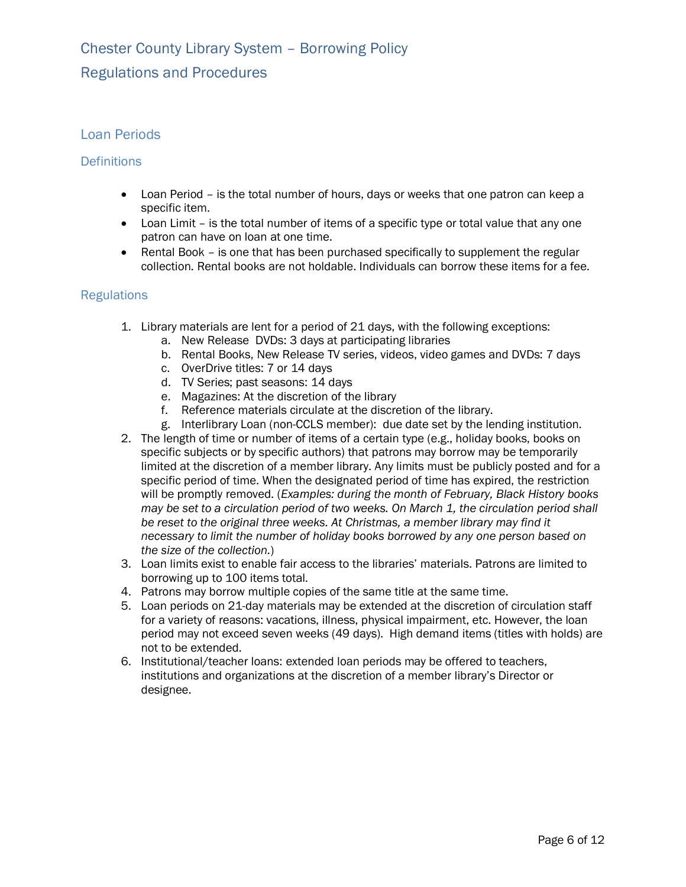## Loan Periods

### **Definitions**

- · Loan Period is the total number of hours, days or weeks that one patron can keep a specific item.
- Loan Limit is the total number of items of a specific type or total value that any one patron can have on loan at one time.
- · Rental Book is one that has been purchased specifically to supplement the regular collection. Rental books are not holdable. Individuals can borrow these items for a fee.

- 1. Library materials are lent for a period of 21 days, with the following exceptions:
	- a. New Release DVDs: 3 days at participating libraries
	- b. Rental Books, New Release TV series, videos, video games and DVDs: 7 days
	- c. OverDrive titles: 7 or 14 days
	- d. TV Series; past seasons: 14 days
	- e. Magazines: At the discretion of the library
	- f. Reference materials circulate at the discretion of the library.
	- g. Interlibrary Loan (non-CCLS member): due date set by the lending institution.
- 2. The length of time or number of items of a certain type (e.g., holiday books, books on specific subjects or by specific authors) that patrons may borrow may be temporarily limited at the discretion of a member library. Any limits must be publicly posted and for a specific period of time. When the designated period of time has expired, the restriction will be promptly removed. (*Examples: during the month of February, Black History books may be set to a circulation period of two weeks. On March 1, the circulation period shall be reset to the original three weeks. At Christmas, a member library may find it necessary to limit the number of holiday books borrowed by any one person based on the size of the collection.*)
- 3. Loan limits exist to enable fair access to the libraries' materials. Patrons are limited to borrowing up to 100 items total.
- 4. Patrons may borrow multiple copies of the same title at the same time.
- 5. Loan periods on 21-day materials may be extended at the discretion of circulation staff for a variety of reasons: vacations, illness, physical impairment, etc. However, the loan period may not exceed seven weeks (49 days). High demand items (titles with holds) are not to be extended.
- 6. Institutional/teacher loans: extended loan periods may be offered to teachers, institutions and organizations at the discretion of a member library's Director or designee.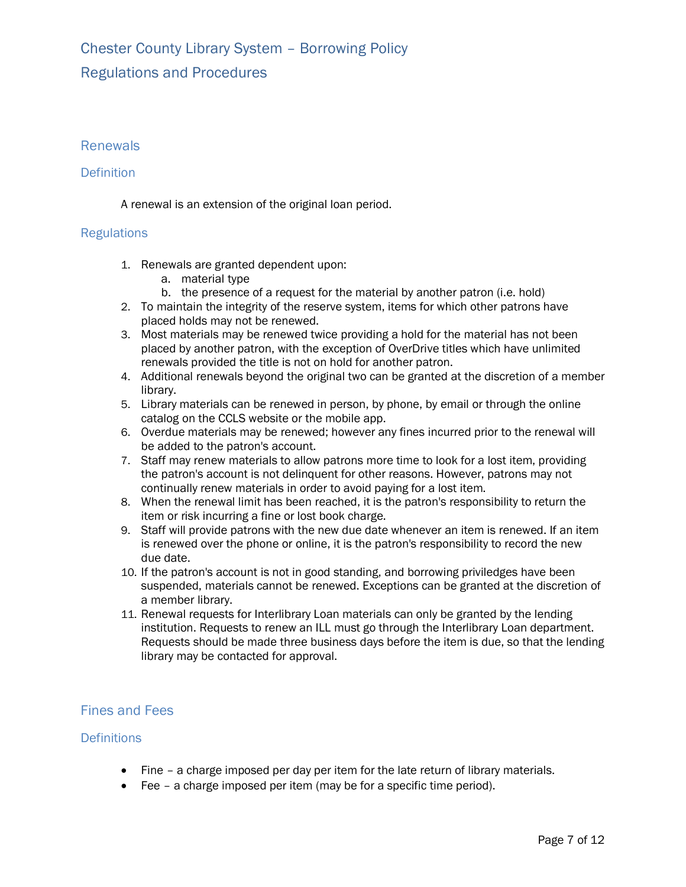# Chester County Library System – Borrowing Policy Regulations and Procedures

## Renewals

### **Definition**

A renewal is an extension of the original loan period.

## **Regulations**

- 1. Renewals are granted dependent upon:
	- a. material type
	- b. the presence of a request for the material by another patron (i.e. hold)
- 2. To maintain the integrity of the reserve system, items for which other patrons have placed holds may not be renewed.
- 3. Most materials may be renewed twice providing a hold for the material has not been placed by another patron, with the exception of OverDrive titles which have unlimited renewals provided the title is not on hold for another patron.
- 4. Additional renewals beyond the original two can be granted at the discretion of a member library.
- 5. Library materials can be renewed in person, by phone, by email or through the online catalog on the CCLS website or the mobile app.
- 6. Overdue materials may be renewed; however any fines incurred prior to the renewal will be added to the patron's account.
- 7. Staff may renew materials to allow patrons more time to look for a lost item, providing the patron's account is not delinquent for other reasons. However, patrons may not continually renew materials in order to avoid paying for a lost item.
- 8. When the renewal limit has been reached, it is the patron's responsibility to return the item or risk incurring a fine or lost book charge.
- 9. Staff will provide patrons with the new due date whenever an item is renewed. If an item is renewed over the phone or online, it is the patron's responsibility to record the new due date.
- 10. If the patron's account is not in good standing, and borrowing priviledges have been suspended, materials cannot be renewed. Exceptions can be granted at the discretion of a member library.
- 11. Renewal requests for Interlibrary Loan materials can only be granted by the lending institution. Requests to renew an ILL must go through the Interlibrary Loan department. Requests should be made three business days before the item is due, so that the lending library may be contacted for approval.

## Fines and Fees

### **Definitions**

- · Fine a charge imposed per day per item for the late return of library materials.
- · Fee a charge imposed per item (may be for a specific time period).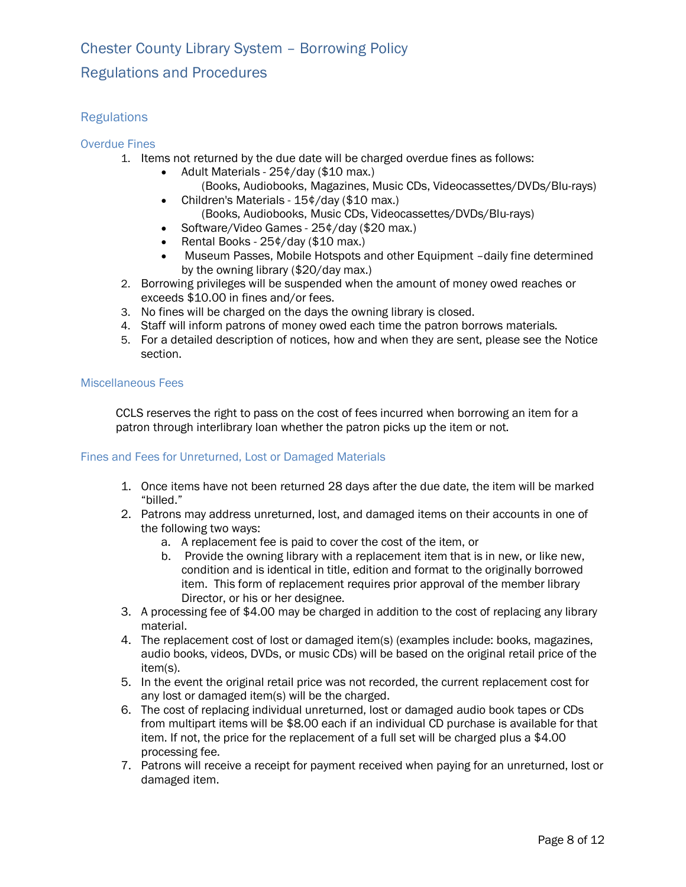## Regulations and Procedures

## **Regulations**

### Overdue Fines

- 1. Items not returned by the due date will be charged overdue fines as follows:
	- · Adult Materials 25¢/day (\$10 max.) (Books, Audiobooks, Magazines, Music CDs, Videocassettes/DVDs/Blu-rays)
	- Children's Materials 15¢/day (\$10 max.) (Books, Audiobooks, Music CDs, Videocassettes/DVDs/Blu-rays)
	- Software/Video Games 25¢/day (\$20 max.)
	- Rental Books 25¢/day (\$10 max.)
	- · Museum Passes, Mobile Hotspots and other Equipment –daily fine determined by the owning library (\$20/day max.)
- 2. Borrowing privileges will be suspended when the amount of money owed reaches or exceeds \$10.00 in fines and/or fees.
- 3. No fines will be charged on the days the owning library is closed.
- 4. Staff will inform patrons of money owed each time the patron borrows materials.
- 5. For a detailed description of notices, how and when they are sent, please see the Notice section.

### Miscellaneous Fees

CCLS reserves the right to pass on the cost of fees incurred when borrowing an item for a patron through interlibrary loan whether the patron picks up the item or not.

### Fines and Fees for Unreturned, Lost or Damaged Materials

- 1. Once items have not been returned 28 days after the due date, the item will be marked "billed."
- 2. Patrons may address unreturned, lost, and damaged items on their accounts in one of the following two ways:
	- a. A replacement fee is paid to cover the cost of the item, or
	- b. Provide the owning library with a replacement item that is in new, or like new, condition and is identical in title, edition and format to the originally borrowed item. This form of replacement requires prior approval of the member library Director, or his or her designee.
- 3. A processing fee of \$4.00 may be charged in addition to the cost of replacing any library material.
- 4. The replacement cost of lost or damaged item(s) (examples include: books, magazines, audio books, videos, DVDs, or music CDs) will be based on the original retail price of the item(s).
- 5. In the event the original retail price was not recorded, the current replacement cost for any lost or damaged item(s) will be the charged.
- 6. The cost of replacing individual unreturned, lost or damaged audio book tapes or CDs from multipart items will be \$8.00 each if an individual CD purchase is available for that item. If not, the price for the replacement of a full set will be charged plus a \$4.00 processing fee.
- 7. Patrons will receive a receipt for payment received when paying for an unreturned, lost or damaged item.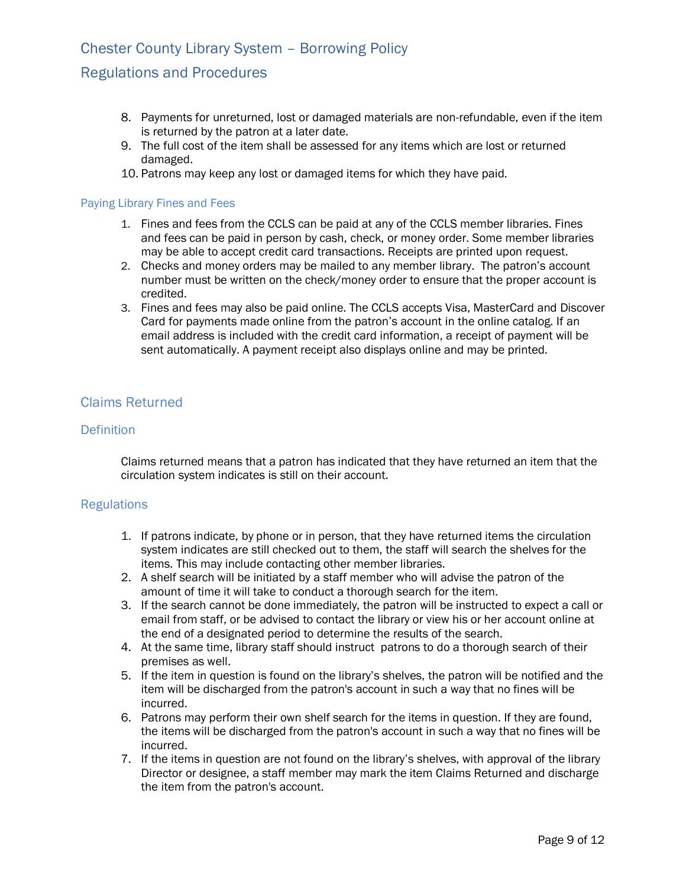## Regulations and Procedures

- 8. Payments for unreturned, lost or damaged materials are non-refundable, even if the item is returned by the patron at a later date.
- 9. The full cost of the item shall be assessed for any items which are lost or returned damaged.
- 10. Patrons may keep any lost or damaged items for which they have paid.

#### Paying Library Fines and Fees

- 1. Fines and fees from the CCLS can be paid at any of the CCLS member libraries. Fines and fees can be paid in person by cash, check, or money order. Some member libraries may be able to accept credit card transactions. Receipts are printed upon request.
- 2. Checks and money orders may be mailed to any member library. The patron's account number must be written on the check/money order to ensure that the proper account is credited.
- 3. Fines and fees may also be paid online. The CCLS accepts Visa, MasterCard and Discover Card for payments made online from the patron's account in the online catalog. If an email address is included with the credit card information, a receipt of payment will be sent automatically. A payment receipt also displays online and may be printed.

## Claims Returned

### **Definition**

Claims returned means that a patron has indicated that they have returned an item that the circulation system indicates is still on their account.

- 1. If patrons indicate, by phone or in person, that they have returned items the circulation system indicates are still checked out to them, the staff will search the shelves for the items. This may include contacting other member libraries.
- 2. A shelf search will be initiated by a staff member who will advise the patron of the amount of time it will take to conduct a thorough search for the item.
- 3. If the search cannot be done immediately, the patron will be instructed to expect a call or email from staff, or be advised to contact the library or view his or her account online at the end of a designated period to determine the results of the search.
- 4. At the same time, library staff should instruct patrons to do a thorough search of their premises as well.
- 5. If the item in question is found on the library's shelves, the patron will be notified and the item will be discharged from the patron's account in such a way that no fines will be incurred.
- 6. Patrons may perform their own shelf search for the items in question. If they are found, the items will be discharged from the patron's account in such a way that no fines will be incurred.
- 7. If the items in question are not found on the library's shelves, with approval of the library Director or designee, a staff member may mark the item Claims Returned and discharge the item from the patron's account.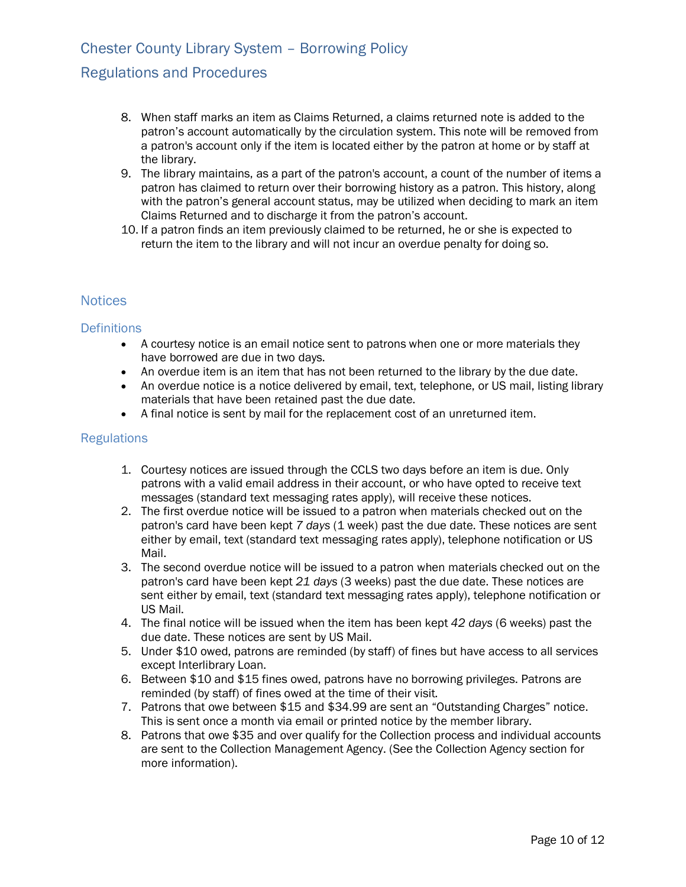## Regulations and Procedures

- 8. When staff marks an item as Claims Returned, a claims returned note is added to the patron's account automatically by the circulation system. This note will be removed from a patron's account only if the item is located either by the patron at home or by staff at the library.
- 9. The library maintains, as a part of the patron's account, a count of the number of items a patron has claimed to return over their borrowing history as a patron. This history, along with the patron's general account status, may be utilized when deciding to mark an item Claims Returned and to discharge it from the patron's account.
- 10. If a patron finds an item previously claimed to be returned, he or she is expected to return the item to the library and will not incur an overdue penalty for doing so.

## **Notices**

#### **Definitions**

- · A courtesy notice is an email notice sent to patrons when one or more materials they have borrowed are due in two days.
- · An overdue item is an item that has not been returned to the library by the due date.
- · An overdue notice is a notice delivered by email, text, telephone, or US mail, listing library materials that have been retained past the due date.
- · A final notice is sent by mail for the replacement cost of an unreturned item.

- 1. Courtesy notices are issued through the CCLS two days before an item is due. Only patrons with a valid email address in their account, or who have opted to receive text messages (standard text messaging rates apply), will receive these notices.
- 2. The first overdue notice will be issued to a patron when materials checked out on the patron's card have been kept *7 days* (1 week) past the due date. These notices are sent either by email, text (standard text messaging rates apply), telephone notification or US Mail.
- 3. The second overdue notice will be issued to a patron when materials checked out on the patron's card have been kept *21 days* (3 weeks) past the due date. These notices are sent either by email, text (standard text messaging rates apply), telephone notification or US Mail.
- 4. The final notice will be issued when the item has been kept *42 days* (6 weeks) past the due date. These notices are sent by US Mail.
- 5. Under \$10 owed, patrons are reminded (by staff) of fines but have access to all services except Interlibrary Loan.
- 6. Between \$10 and \$15 fines owed, patrons have no borrowing privileges. Patrons are reminded (by staff) of fines owed at the time of their visit.
- 7. Patrons that owe between \$15 and \$34.99 are sent an "Outstanding Charges" notice. This is sent once a month via email or printed notice by the member library.
- 8. Patrons that owe \$35 and over qualify for the Collection process and individual accounts are sent to the Collection Management Agency. (See the Collection Agency section for more information).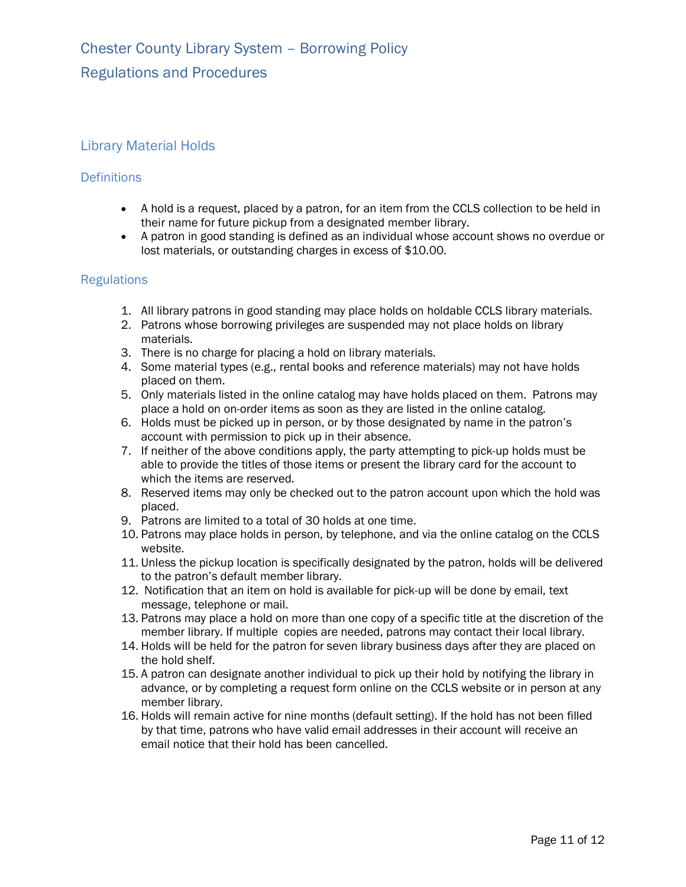## Library Material Holds

## **Definitions**

- · A hold is a request, placed by a patron, for an item from the CCLS collection to be held in their name for future pickup from a designated member library.
- · A patron in good standing is defined as an individual whose account shows no overdue or lost materials, or outstanding charges in excess of \$10.00.

- 1. All library patrons in good standing may place holds on holdable CCLS library materials.
- 2. Patrons whose borrowing privileges are suspended may not place holds on library materials.
- 3. There is no charge for placing a hold on library materials.
- 4. Some material types (e.g., rental books and reference materials) may not have holds placed on them.
- 5. Only materials listed in the online catalog may have holds placed on them. Patrons may place a hold on on-order items as soon as they are listed in the online catalog.
- 6. Holds must be picked up in person, or by those designated by name in the patron's account with permission to pick up in their absence.
- 7. If neither of the above conditions apply, the party attempting to pick-up holds must be able to provide the titles of those items or present the library card for the account to which the items are reserved.
- 8. Reserved items may only be checked out to the patron account upon which the hold was placed.
- 9. Patrons are limited to a total of 30 holds at one time.
- 10. Patrons may place holds in person, by telephone, and via the online catalog on the CCLS website.
- 11. Unless the pickup location is specifically designated by the patron, holds will be delivered to the patron's default member library.
- 12. Notification that an item on hold is available for pick-up will be done by email, text message, telephone or mail.
- 13. Patrons may place a hold on more than one copy of a specific title at the discretion of the member library. If multiple copies are needed, patrons may contact their local library.
- 14. Holds will be held for the patron for seven library business days after they are placed on the hold shelf.
- 15. A patron can designate another individual to pick up their hold by notifying the library in advance, or by completing a request form online on the CCLS website or in person at any member library.
- 16. Holds will remain active for nine months (default setting). If the hold has not been filled by that time, patrons who have valid email addresses in their account will receive an email notice that their hold has been cancelled.